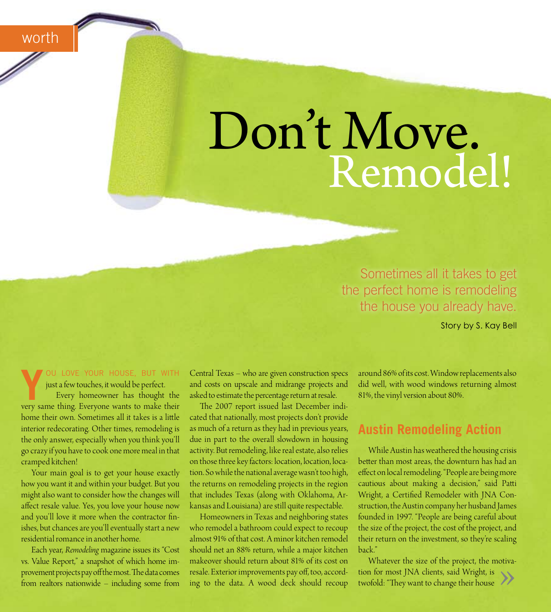worth

# Don't Move. Remodel!

Sometimes all it takes to get the perfect home is remodeling the house you already have.

Story by S. Kay Bell

OU LOVE YOUR HOUSE, BUT WITH just a few touches, it would be perfect.

Every homeowner has thought the very same thing. Everyone wants to make their home their own. Sometimes all it takes is a little interior redecorating. Other times, remodeling is the only answer, especially when you think you'll go crazy if you have to cook one more meal in that cramped kitchen!

Your main goal is to get your house exactly how you want it and within your budget. But you might also want to consider how the changes will affect resale value. Yes, you love your house now and you'll love it more when the contractor finishes, but chances are you'll eventually start a new residential romance in another home.

Each year, Remodeling magazine issues its "Cost vs. Value Report," a snapshot of which home improvement projects pay off the most. The data comes from realtors nationwide - including some from

Central Texas - who are given construction specs and costs on upscale and midrange projects and asked to estimate the percentage return at resale.

The 2007 report issued last December indicated that nationally, most projects don't provide as much of a return as they had in previous years, due in part to the overall slowdown in housing activity. But remodeling, like real estate, also relies on those three key factors: location, location, location. So while the national average wasn't too high, the returns on remodeling projects in the region that includes Texas (along with Oklahoma, Arkansas and Louisiana) are still quite respectable.

Homeowners in Texas and neighboring states who remodel a bathroom could expect to recoup almost 91% of that cost. A minor kitchen remodel should net an 88% return, while a major kitchen makeover should return about 81% of its cost on resale. Exterior improvements pay off, too, according to the data. A wood deck should recoup around 86% of its cost. Window replacements also did well, with wood windows returning almost 81%, the vinyl version about 80%.

## **Austin Remodeling Action**

While Austin has weathered the housing crisis better than most areas, the downturn has had an effect on local remodeling. "People are being more cautious about making a decision," said Patti Wright, a Certified Remodeler with JNA Construction, the Austin company her husband James founded in 1997. "People are being careful about the size of the project, the cost of the project, and their return on the investment, so they're scaling back."

Whatever the size of the project, the motivation for most JNA clients, said Wright, is twofold: "They want to change their house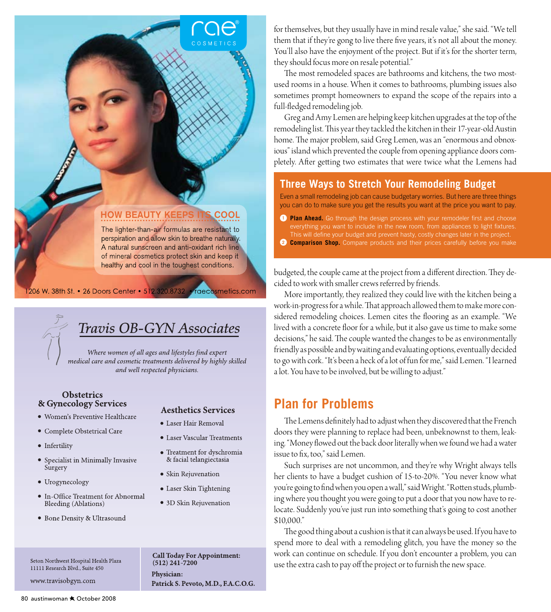#### **HOW BEAUTY KEEPS ITS COOL**

The lighter-than-air formulas are resistant to perspiration and allow skin to breathe naturally. A natural sunscreen and anti-oxidant rich line of mineral cosmetics protect skin and keep it healthy and cool in the toughest conditions.

#### 1206 W. 38th St. • 26 Doors Center • 512.320.8732 raecosmetics.com

# Travis OB-GYN Associates

Where women of all ages and lifestyles find expert medical care and cosmetic treatments delivered by highly skilled and well respected physicians.

#### **Obstetrics** & Gynecology Services

- · Women's Preventive Healthcare
- Complete Obstetrical Care
- Infertility
- Specialist in Minimally Invasive Surgery
- Urogynecology
- In-Office Treatment for Abnormal Bleeding (Ablations)
- Bone Density & Ultrasound

#### Seton Northwest Hospital Health Plaza 11111 Research Blvd., Suite 450

www.travisobgyn.com

**Call Today For Appointment:**  $(512)$  241-7200 Physician: Patrick S. Pevoto, M.D., F.A.C.O.G.

**Aesthetics Services** 

• Laser Vascular Treatments

· Treatment for dyschromia

& facial telangiectasia

• Skin Rejuvenation

• Laser Skin Tightening

• 3D Skin Rejuvenation

• Laser Hair Removal

for themselves, but they usually have in mind resale value," she said. "We tell them that if they're gong to live there five years, it's not all about the money. You'll also have the enjoyment of the project. But if it's for the shorter term, they should focus more on resale potential."

The most remodeled spaces are bathrooms and kitchens, the two mostused rooms in a house. When it comes to bathrooms, plumbing issues also sometimes prompt homeowners to expand the scope of the repairs into a full-fledged remodeling job.

Greg and Amy Lemen are helping keep kitchen upgrades at the top of the remodeling list. This year they tackled the kitchen in their 17-year-old Austin home. The major problem, said Greg Lemen, was an "enormous and obnoxious" island which prevented the couple from opening appliance doors completely. After getting two estimates that were twice what the Lemens had

#### **Three Ways to Stretch Your Remodeling Budget**

Even a small remodeling job can cause budgetary worries. But here are three things you can do to make sure you get the results you want at the price you want to pay.

- 1 Plan Ahead. Go through the design process with your remodeler first and choose everything you want to include in the new room, from appliances to light fixtures. This will define your budget and prevent hasty, costly changes later in the project.
- 2) **Comparison Shop.** Compare products and their prices carefully before you make

budgeted, the couple came at the project from a different direction. They decided to work with smaller crews referred by friends.

More importantly, they realized they could live with the kitchen being a work-in-progress for a while. That approach allowed them to make more considered remodeling choices. Lemen cites the flooring as an example. "We lived with a concrete floor for a while, but it also gave us time to make some decisions," he said. The couple wanted the changes to be as environmentally friendly as possible and by waiting and evaluating options, eventually decided to go with cork. "It's been a heck of a lot of fun for me," said Lemen. "I learned a lot. You have to be involved, but be willing to adjust."

## **Plan for Problems**

The Lemens definitely had to adjust when they discovered that the French doors they were planning to replace had been, unbeknownst to them, leaking. "Money flowed out the back door literally when we found we had a water issue to fix, too," said Lemen.

Such surprises are not uncommon, and they're why Wright always tells her clients to have a budget cushion of 15-to-20%. "You never know what you're going to find when you open a wall," said Wright. "Rotten studs, plumbing where you thought you were going to put a door that you now have to relocate. Suddenly you've just run into something that's going to cost another \$10.000."

The good thing about a cushion is that it can always be used. If you have to spend more to deal with a remodeling glitch, you have the money so the work can continue on schedule. If you don't encounter a problem, you can use the extra cash to pay off the project or to furnish the new space.

80 austinwoman ★ October 2008